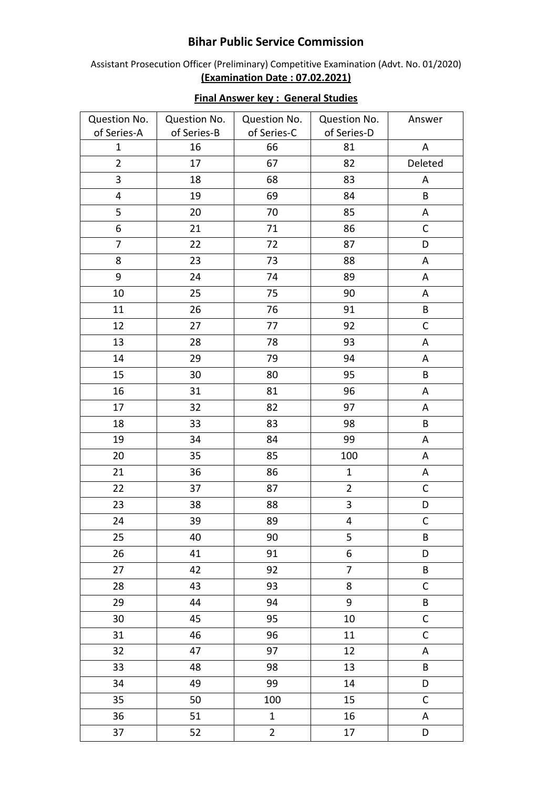## **Bihar Public Service Commission**

Assistant Prosecution Officer (Preliminary) Competitive Examination (Advt. No. 01/2020) **(Examination Date : 07.02.2021)**

| Question No.   | Question No. | Question No.   | Question No.            | Answer       |
|----------------|--------------|----------------|-------------------------|--------------|
| of Series-A    | of Series-B  | of Series-C    | of Series-D             |              |
| $\mathbf{1}$   | 16           | 66             | 81                      | ${\sf A}$    |
| $\overline{2}$ | 17           | 67             | 82                      | Deleted      |
| 3              | 18           | 68             | 83                      | A            |
| 4              | 19           | 69             | 84                      | B            |
| 5              | 20           | 70             | 85                      | $\mathsf A$  |
| 6              | 21           | 71             | 86                      | $\mathsf C$  |
| $\overline{7}$ | 22           | 72             | 87                      | D            |
| 8              | 23           | 73             | 88                      | A            |
| 9              | 24           | 74             | 89                      | A            |
| 10             | 25           | 75             | 90                      | A            |
| 11             | 26           | 76             | 91                      | B            |
| 12             | 27           | 77             | 92                      | $\mathsf C$  |
| 13             | 28           | 78             | 93                      | $\mathsf A$  |
| 14             | 29           | 79             | 94                      | A            |
| 15             | 30           | 80             | 95                      | B            |
| 16             | 31           | 81             | 96                      | A            |
| 17             | 32           | 82             | 97                      | A            |
| 18             | 33           | 83             | 98                      | В            |
| 19             | 34           | 84             | 99                      | A            |
| 20             | 35           | 85             | 100                     | A            |
| 21             | 36           | 86             | $\mathbf{1}$            | A            |
| 22             | 37           | 87             | $\overline{2}$          | $\mathsf C$  |
| 23             | 38           | 88             | $\overline{\mathbf{3}}$ | D            |
| 24             | 39           | 89             | $\overline{\mathbf{4}}$ | $\mathsf C$  |
| 25             | 40           | 90             | 5                       | Β            |
| 26             | 41           | 91             | 6                       | D            |
| 27             | 42           | 92             | $\overline{7}$          | B            |
| 28             | 43           | 93             | 8                       | $\mathsf{C}$ |
| 29             | 44           | 94             | 9                       | B            |
| 30             | 45           | 95             | 10                      | $\mathsf C$  |
| 31             | 46           | 96             | 11                      | $\mathsf C$  |
| 32             | 47           | 97             | 12                      | A            |
| 33             | 48           | 98             | 13                      | B            |
| 34             | 49           | 99             | 14                      | D            |
| 35             | 50           | 100            | 15                      | $\mathsf C$  |
| 36             | 51           | $\mathbf{1}$   | 16                      | A            |
| 37             | 52           | $\overline{2}$ | 17                      | D            |

## **Final Answer key : General Studies**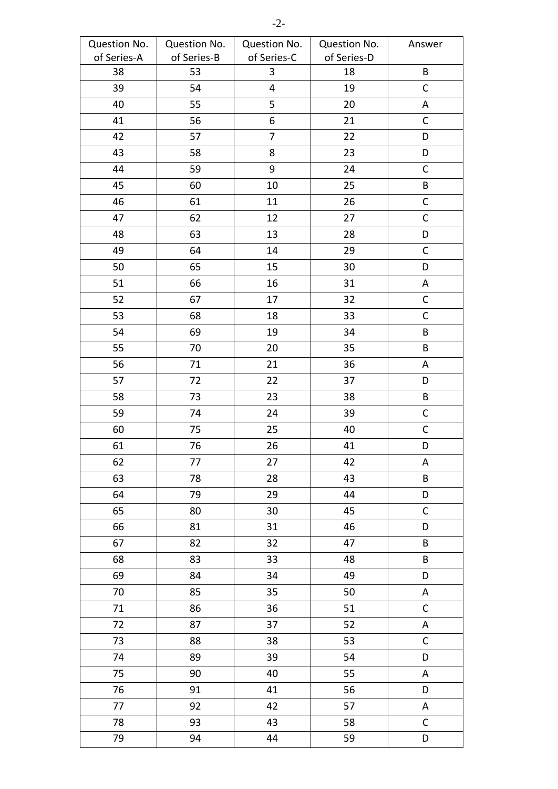| Question No. | Question No. | Question No. | Question No. | Answer       |
|--------------|--------------|--------------|--------------|--------------|
| of Series-A  | of Series-B  | of Series-C  | of Series-D  |              |
| 38           | 53           | $\mathbf{3}$ | 18           | $\sf{B}$     |
| 39           | 54           | 4            | 19           | $\mathsf C$  |
| 40           | 55           | 5            | 20           | A            |
| 41           | 56           | 6            | 21           | $\mathsf C$  |
| 42           | 57           | 7            | 22           | D            |
| 43           | 58           | 8            | 23           | D            |
| 44           | 59           | 9            | 24           | $\mathsf C$  |
| 45           | 60           | 10           | 25           | $\sf{B}$     |
| 46           | 61           | 11           | 26           | $\mathsf C$  |
| 47           | 62           | 12           | 27           | $\mathsf C$  |
| 48           | 63           | 13           | 28           | D            |
| 49           | 64           | 14           | 29           | $\mathsf C$  |
| 50           | 65           | 15           | 30           | D            |
| 51           | 66           | 16           | 31           | A            |
| 52           | 67           | 17           | 32           | $\mathsf C$  |
| 53           | 68           | 18           | 33           | $\mathsf C$  |
| 54           | 69           | 19           | 34           | B            |
| 55           | 70           | 20           | 35           | B            |
| 56           | 71           | 21           | 36           | Α            |
| 57           | 72           | 22           | 37           | D            |
| 58           | 73           | 23           | 38           | $\sf{B}$     |
| 59           | 74           | 24           | 39           | $\mathsf{C}$ |
| 60           | 75           | 25           | 40           | $\mathsf C$  |
| 61           | 76           | 26           | 41           | D            |
| 62           | 77           | 27           | 42           | A            |
| 63           | 78           | 28           | 43           | $\sf{B}$     |
| 64           | 79           | 29           | 44           | D            |
| 65           | 80           | 30           | 45           | $\mathsf{C}$ |
| 66           | 81           | 31           | 46           | D            |
| 67           | 82           | 32           | 47           | $\sf{B}$     |
| 68           | 83           | 33           | 48           | $\sf{B}$     |
| 69           | 84           | 34           | 49           | D            |
| 70           | 85           | 35           | 50           | A            |
| 71           | 86           | 36           | 51           | $\mathsf C$  |
| 72           | 87           | 37           | 52           | A            |
| 73           | 88           | 38           | 53           | $\mathsf C$  |
| 74           | 89           | 39           | 54           | D            |
| 75           | 90           | 40           | 55           | A            |
| 76           | 91           | 41           | 56           | D            |
| 77           | 92           | 42           | 57           | A            |
| 78           | 93           | 43           | 58           | $\mathsf C$  |
| 79           | 94           | 44           | 59           | D            |